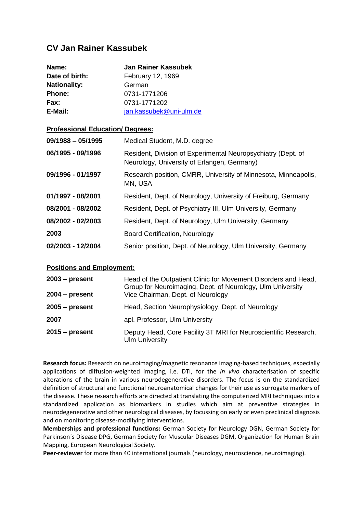## **CV Jan Rainer Kassubek**

| Name:               | <b>Jan Rainer Kassubek</b> |
|---------------------|----------------------------|
| Date of birth:      | February 12, 1969          |
| <b>Nationality:</b> | German                     |
| <b>Phone:</b>       | 0731-1771206               |
| Fax:                | 0731-1771202               |
| E-Mail:             | jan.kassubek@uni-ulm.de    |

## **Professional Education/ Degrees:**

| $09/1988 - 05/1995$ | Medical Student, M.D. degree                                                                                |
|---------------------|-------------------------------------------------------------------------------------------------------------|
| 06/1995 - 09/1996   | Resident, Division of Experimental Neuropsychiatry (Dept. of<br>Neurology, University of Erlangen, Germany) |
| 09/1996 - 01/1997   | Research position, CMRR, University of Minnesota, Minneapolis,<br>MN, USA                                   |
| 01/1997 - 08/2001   | Resident, Dept. of Neurology, University of Freiburg, Germany                                               |
| 08/2001 - 08/2002   | Resident, Dept. of Psychiatry III, Ulm University, Germany                                                  |
| 08/2002 - 02/2003   | Resident, Dept. of Neurology, Ulm University, Germany                                                       |
| 2003                | <b>Board Certification, Neurology</b>                                                                       |
| 02/2003 - 12/2004   | Senior position, Dept. of Neurology, Ulm University, Germany                                                |

## **Positions and Employment:**

| $2003 - present$ | Head of the Outpatient Clinic for Movement Disorders and Head,<br>Group for Neuroimaging, Dept. of Neurology, Ulm University |
|------------------|------------------------------------------------------------------------------------------------------------------------------|
| $2004 - present$ | Vice Chairman, Dept. of Neurology                                                                                            |
| $2005 - present$ | Head, Section Neurophysiology, Dept. of Neurology                                                                            |
| 2007             | apl. Professor, Ulm University                                                                                               |
| $2015 - present$ | Deputy Head, Core Facility 3T MRI for Neuroscientific Research,<br><b>Ulm University</b>                                     |

**Research focus:** Research on neuroimaging/magnetic resonance imaging-based techniques, especially applications of diffusion-weighted imaging, i.e. DTI, for the *in vivo* characterisation of specific alterations of the brain in various neurodegenerative disorders. The focus is on the standardized definition of structural and functional neuroanatomical changes for their use as surrogate markers of the disease. These research efforts are directed at translating the computerized MRI techniques into a standardized application as biomarkers in studies which aim at preventive strategies in neurodegenerative and other neurological diseases, by focussing on early or even preclinical diagnosis and on monitoring disease-modifying interventions.

**Memberships and professional functions:** German Society for Neurology DGN, German Society for Parkinson´s Disease DPG, German Society for Muscular Diseases DGM, Organization for Human Brain Mapping, European Neurological Society.

**Peer-reviewer** for more than 40 international journals (neurology, neuroscience, neuroimaging).